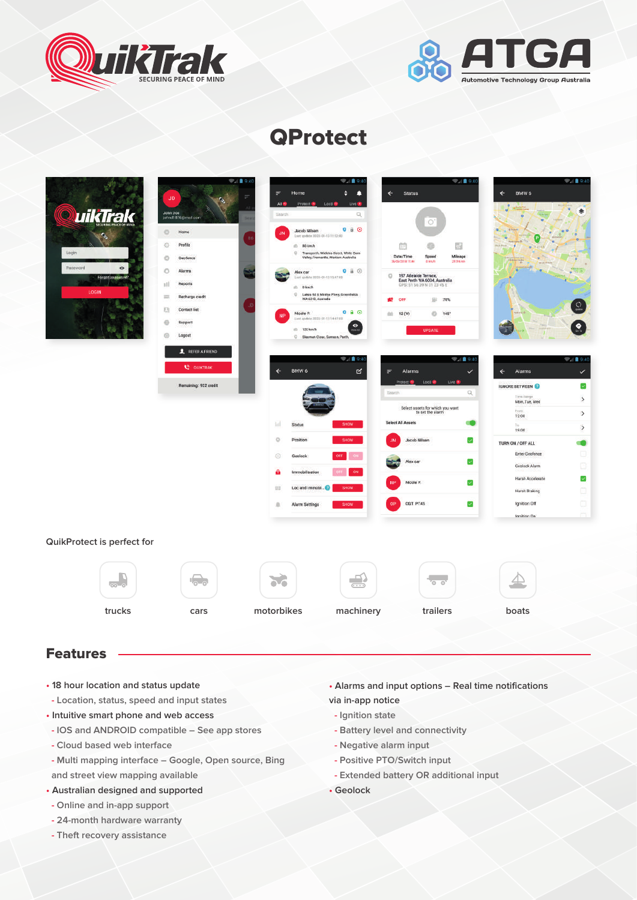



# **QProtect**

|                                                                 | JD.                                                                                                    | FA 894<br>٠<br>F<br>Home<br>п<br>All <b>B</b><br>Protect <b>U</b> Loc8 <sup>29</sup><br>$U = 0$                                                                                                 | $\Psi_A$ i 9:40<br>$\leftarrow$<br><b>Status</b>                                                                                                               | TA 8:40<br>BMW 6<br>$\leftarrow$<br>$\bullet$                                                                                                       |
|-----------------------------------------------------------------|--------------------------------------------------------------------------------------------------------|-------------------------------------------------------------------------------------------------------------------------------------------------------------------------------------------------|----------------------------------------------------------------------------------------------------------------------------------------------------------------|-----------------------------------------------------------------------------------------------------------------------------------------------------|
| QuikTrak<br>Login<br>Password<br>۰<br>Forgot password?<br>LOGIN | John Doe<br>johnd 1876@mail.com<br>$\circ$<br>Home<br><b>B6</b><br>ó<br>Profile<br>$\circ$<br>Geofence | Q<br>Search<br>$0$ ii $\odot$<br>Jacob Nilsen<br><b>JN</b><br>aut undate 2020-01-13 11:12:00<br>m 80 km/h<br>Transperth, Waddas Street, White Gum<br>o.<br>Valley, Fremantle, Western Australia | O,<br>$\Rightarrow$<br>帥<br>Date/Time<br>Mileage<br>Speed                                                                                                      |                                                                                                                                                     |
|                                                                 | $\circ$<br>Alarms<br>111<br>Reports<br>Recharge credit<br>票                                            | $\bullet$ $\bullet$ $\circ$<br>Alex car<br>Leat update 2020-01-13 15:47:00<br>ill Dionyh<br>C Lakes Rd & Minilya Pkwy, Greenfields<br>WA 6210, Australia                                        | 26/05/2018 11:44<br>diam<br>21316 low<br>197 Adelaide Terrace,<br>$\circ$<br>East Perth WA 6004, Australia<br>GPS: 51 56 39 N 31 23 45 E<br>70%<br>OFF<br>49   | $Q_{\text{min}}$                                                                                                                                    |
|                                                                 | 目<br>Contact list<br>$\circ$<br>Support<br>$^{\circ}$<br>Logout<br>REFERAFRIEND                        | 0.8 <sub>o</sub><br>Nicole P.<br>Last update 2020-01-13 14:47:00<br>$\bullet$<br>□ 120 km/h<br>C Bleeman Close, Samson, Porth                                                                   | $\circ$<br>12 (V)<br>145'<br>m.<br><b>UPDATE</b>                                                                                                               | $\bullet$                                                                                                                                           |
|                                                                 | <b>C</b> QUIKTRAK<br>Remaining: 932 credit                                                             | ₩ 18 9:40<br>BMW 6<br>R<br>$\leftarrow$                                                                                                                                                         | $\mathcal{A}$ 19:40<br>F<br>Alarms<br>$\checkmark$<br>Protect <sup>(B</sup> Loc <sup>B</sup> <sup>22</sup><br>Un <sub>0</sub><br>$\mathsf{Q}$<br><b>Boarch</b> | $\bigcirc$ / 8 9:40<br>Alarms<br>$\leftarrow$<br>$\checkmark$<br>$\overline{\mathscr{L}}$<br><b>IGNORE BETWEEN</b><br>Timi flierge<br>$\rightarrow$ |
|                                                                 |                                                                                                        | hil.<br>SHOW<br>Statue<br>Position<br>9<br>SHOW                                                                                                                                                 | Select assets for which you want<br>to set the alarm<br><b>Select All Assets</b><br>Jacob Nilsen<br>⊻<br><b>JN</b>                                             | Man, Tue, Wed<br>Everb.<br>$\rightarrow$<br>1200<br>Tai<br>$\rightarrow$<br>19.00<br>6<br>TURN ON / OFF ALL                                         |
|                                                                 |                                                                                                        | $\odot$<br>Geolock<br>OFF<br>Immobilisation<br>ON                                                                                                                                               | $\overline{\mathcal{L}}$<br>Alex car<br>Nicole P<br>$\omega$                                                                                                   | ö<br><b>Enter Geofence</b><br>$\square$<br>Geolock Alarm<br>V,<br><b>Harsh Accelerate</b>                                                           |
|                                                                 |                                                                                                        | Loc and Immobi <sup>2</sup><br><b>SHOW</b><br>照<br>Alarm Settings<br>÷<br>SHOW                                                                                                                  | OGT PT45<br>$\sim$                                                                                                                                             | o<br><b>Harsh Braking</b><br>$\Box$<br>Ignition Off<br>$\sim$<br>lanition On                                                                        |
| QuikProtect is perfect for                                      |                                                                                                        |                                                                                                                                                                                                 |                                                                                                                                                                |                                                                                                                                                     |
| $\overline{\odot}$ o                                            | $\frac{1}{2}$                                                                                          | $\Rightarrow$<br>29                                                                                                                                                                             | $\overline{\circ}$                                                                                                                                             | $\triangleq$                                                                                                                                        |
| trucks                                                          | cars                                                                                                   | motorbikes<br>machinery                                                                                                                                                                         | trailers                                                                                                                                                       | boats                                                                                                                                               |

## Features

- **18 hour location and status update**
- **Location, status, speed and input states**
- **• Intuitive smart phone and web access**
- **- IOS and ANDROID compatible See app stores**
- **- Cloud based web interface**
- **- Multi mapping interface Google, Open source, Bing and street view mapping available**
- **• Australian designed and supported**
- **- Online and in-app support**
- **- 24-month hardware warranty**
- **- Theft recovery assistance**
- **Alarms and input options Real time notifications via in-app notice**
- **Ignition state**
- **Battery level and connectivity**
- **Negative alarm input**
- **Positive PTO/Switch input**
- **Extended battery OR additional input**
- **Geolock**